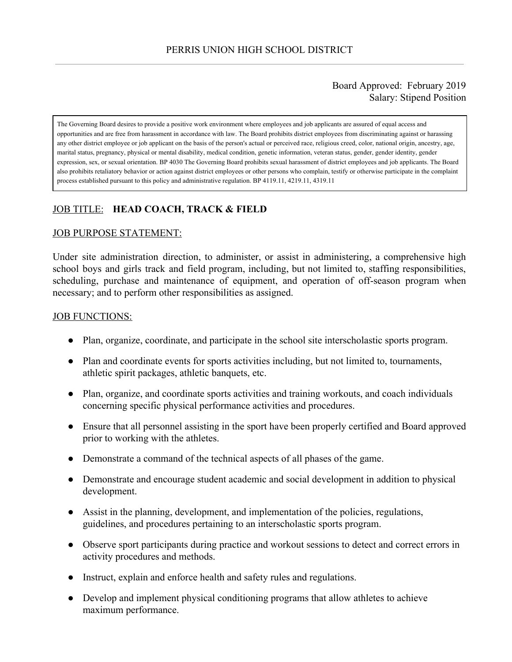### Board Approved: February 2019 Salary: Stipend Position

The Governing Board desires to provide a positive work environment where employees and job applicants are assured of equal access and opportunities and are free from harassment in accordance with law. The Board prohibits district employees from discriminating against or harassing any other district employee or job applicant on the basis of the person's actual or perceived race, religious creed, color, national origin, ancestry, age, marital status, pregnancy, physical or mental disability, medical condition, genetic information, veteran status, gender, gender identity, gender expression, sex, or sexual orientation. BP 4030 The Governing Board prohibits sexual harassment of district employees and job applicants. The Board also prohibits retaliatory behavior or action against district employees or other persons who complain, testify or otherwise participate in the complaint process established pursuant to this policy and administrative regulation. BP 4119.11, 4219.11, 4319.11

# JOB TITLE: **HEAD COACH, TRACK & FIELD**

### JOB PURPOSE STATEMENT:

Under site administration direction, to administer, or assist in administering, a comprehensive high school boys and girls track and field program, including, but not limited to, staffing responsibilities, scheduling, purchase and maintenance of equipment, and operation of off-season program when necessary; and to perform other responsibilities as assigned.

#### JOB FUNCTIONS:

- Plan, organize, coordinate, and participate in the school site interscholastic sports program.
- Plan and coordinate events for sports activities including, but not limited to, tournaments, athletic spirit packages, athletic banquets, etc.
- Plan, organize, and coordinate sports activities and training workouts, and coach individuals concerning specific physical performance activities and procedures.
- Ensure that all personnel assisting in the sport have been properly certified and Board approved prior to working with the athletes.
- Demonstrate a command of the technical aspects of all phases of the game.
- Demonstrate and encourage student academic and social development in addition to physical development.
- Assist in the planning, development, and implementation of the policies, regulations, guidelines, and procedures pertaining to an interscholastic sports program.
- Observe sport participants during practice and workout sessions to detect and correct errors in activity procedures and methods.
- Instruct, explain and enforce health and safety rules and regulations.
- Develop and implement physical conditioning programs that allow athletes to achieve maximum performance.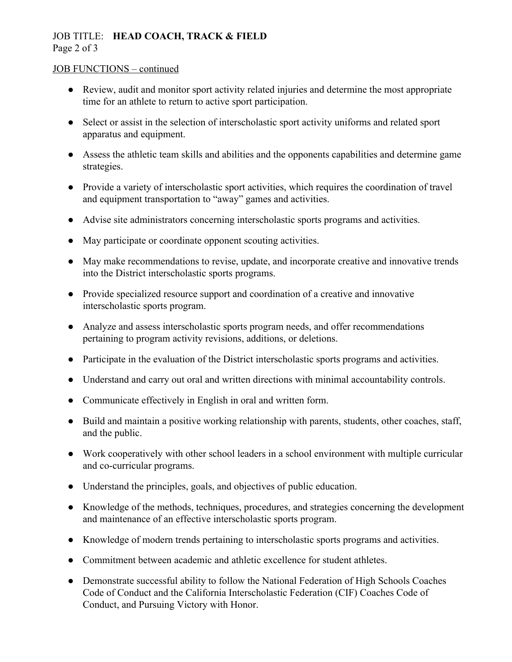## JOB TITLE: **HEAD COACH, TRACK & FIELD** Page 2 of 3

### JOB FUNCTIONS – continued

- Review, audit and monitor sport activity related injuries and determine the most appropriate time for an athlete to return to active sport participation.
- Select or assist in the selection of interscholastic sport activity uniforms and related sport apparatus and equipment.
- Assess the athletic team skills and abilities and the opponents capabilities and determine game strategies.
- Provide a variety of interscholastic sport activities, which requires the coordination of travel and equipment transportation to "away" games and activities.
- Advise site administrators concerning interscholastic sports programs and activities.
- May participate or coordinate opponent scouting activities.
- May make recommendations to revise, update, and incorporate creative and innovative trends into the District interscholastic sports programs.
- Provide specialized resource support and coordination of a creative and innovative interscholastic sports program.
- Analyze and assess interscholastic sports program needs, and offer recommendations pertaining to program activity revisions, additions, or deletions.
- Participate in the evaluation of the District interscholastic sports programs and activities.
- Understand and carry out oral and written directions with minimal accountability controls.
- Communicate effectively in English in oral and written form.
- Build and maintain a positive working relationship with parents, students, other coaches, staff, and the public.
- Work cooperatively with other school leaders in a school environment with multiple curricular and co-curricular programs.
- Understand the principles, goals, and objectives of public education.
- Knowledge of the methods, techniques, procedures, and strategies concerning the development and maintenance of an effective interscholastic sports program.
- Knowledge of modern trends pertaining to interscholastic sports programs and activities.
- Commitment between academic and athletic excellence for student athletes.
- Demonstrate successful ability to follow the National Federation of High Schools Coaches Code of Conduct and the California Interscholastic Federation (CIF) Coaches Code of Conduct, and Pursuing Victory with Honor.